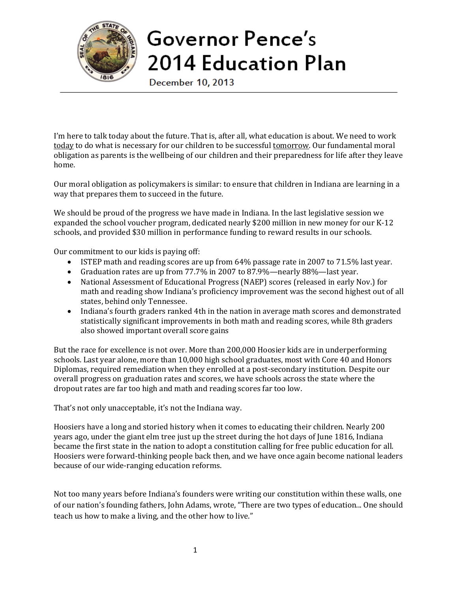

## Governor Pence's **2014 Education Plan**

December 10, 2013

I'm here to talk today about the future. That is, after all, what education is about. We need to work today to do what is necessary for our children to be successful tomorrow. Our fundamental moral obligation as parents is the wellbeing of our children and their preparedness for life after they leave home.

Our moral obligation as policymakers is similar: to ensure that children in Indiana are learning in a way that prepares them to succeed in the future.

We should be proud of the progress we have made in Indiana. In the last legislative session we expanded the school voucher program, dedicated nearly \$200 million in new money for our K-12 schools, and provided \$30 million in performance funding to reward results in our schools.

Our commitment to our kids is paying off:

- ISTEP math and reading scores are up from 64% passage rate in 2007 to 71.5% last year.
- Graduation rates are up from 77.7% in 2007 to 87.9%—nearly 88%—last year.
- National Assessment of Educational Progress (NAEP) scores (released in early Nov.) for math and reading show Indiana's proficiency improvement was the second highest out of all states, behind only Tennessee.
- Indiana's fourth graders ranked 4th in the nation in average math scores and demonstrated statistically significant improvements in both math and reading scores, while 8th graders also showed important overall score gains

But the race for excellence is not over. More than 200,000 Hoosier kids are in underperforming schools. Last year alone, more than 10,000 high school graduates, most with Core 40 and Honors Diplomas, required remediation when they enrolled at a post-secondary institution. Despite our overall progress on graduation rates and scores, we have schools across the state where the dropout rates are far too high and math and reading scores far too low.

That's not only unacceptable, it's not the Indiana way.

Hoosiers have a long and storied history when it comes to educating their children. Nearly 200 years ago, under the giant elm tree just up the street during the hot days of June 1816, Indiana became the first state in the nation to adopt a constitution calling for free public education for all. Hoosiers were forward-thinking people back then, and we have once again become national leaders because of our wide-ranging education reforms.

Not too many years before Indiana's founders were writing our constitution within these walls, one of our nation's founding fathers, John Adams, wrote, "There are two types of education... One should teach us how to make a living, and the other how to live."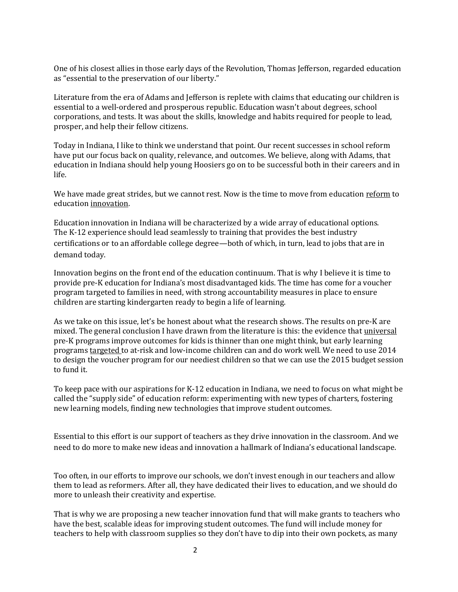One of his closest allies in those early days of the Revolution, Thomas Jefferson, regarded education as "essential to the preservation of our liberty."

Literature from the era of Adams and Jefferson is replete with claims that educating our children is essential to a well-ordered and prosperous republic. Education wasn't about degrees, school corporations, and tests. It was about the skills, knowledge and habits required for people to lead, prosper, and help their fellow citizens.

Today in Indiana, I like to think we understand that point. Our recent successes in school reform have put our focus back on quality, relevance, and outcomes. We believe, along with Adams, that education in Indiana should help young Hoosiers go on to be successful both in their careers and in life.

We have made great strides, but we cannot rest. Now is the time to move from education reform to education innovation.

Education innovation in Indiana will be characterized by a wide array of educational options. The K-12 experience should lead seamlessly to training that provides the best industry certifications or to an affordable college degree—both of which, in turn, lead to jobs that are in demand today.

Innovation begins on the front end of the education continuum. That is why I believe it is time to provide pre-K education for Indiana's most disadvantaged kids. The time has come for a voucher program targeted to families in need, with strong accountability measures in place to ensure children are starting kindergarten ready to begin a life of learning.

As we take on this issue, let's be honest about what the research shows. The results on pre-K are mixed. The general conclusion I have drawn from the literature is this: the evidence that universal pre-K programs improve outcomes for kids is thinner than one might think, but early learning programs targeted to at-risk and low-income children can and do work well. We need to use 2014 to design the voucher program for our neediest children so that we can use the 2015 budget session to fund it.

To keep pace with our aspirations for K-12 education in Indiana, we need to focus on what might be called the "supply side" of education reform: experimenting with new types of charters, fostering new learning models, finding new technologies that improve student outcomes.

Essential to this effort is our support of teachers as they drive innovation in the classroom. And we need to do more to make new ideas and innovation a hallmark of Indiana's educational landscape.

Too often, in our efforts to improve our schools, we don't invest enough in our teachers and allow them to lead as reformers. After all, they have dedicated their lives to education, and we should do more to unleash their creativity and expertise.

That is why we are proposing a new teacher innovation fund that will make grants to teachers who have the best, scalable ideas for improving student outcomes. The fund will include money for teachers to help with classroom supplies so they don't have to dip into their own pockets, as many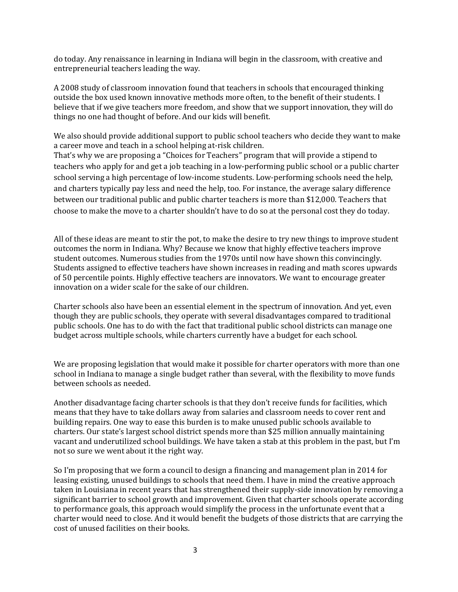do today. Any renaissance in learning in Indiana will begin in the classroom, with creative and entrepreneurial teachers leading the way.

A 2008 study of classroom innovation found that teachers in schools that encouraged thinking outside the box used known innovative methods more often, to the benefit of their students. I believe that if we give teachers more freedom, and show that we support innovation, they will do things no one had thought of before. And our kids will benefit.

We also should provide additional support to public school teachers who decide they want to make a career move and teach in a school helping at-risk children.

That's why we are proposing a "Choices for Teachers" program that will provide a stipend to teachers who apply for and get a job teaching in a low-performing public school or a public charter school serving a high percentage of low-income students. Low-performing schools need the help, and charters typically pay less and need the help, too. For instance, the average salary difference between our traditional public and public charter teachers is more than \$12,000. Teachers that choose to make the move to a charter shouldn't have to do so at the personal cost they do today.

All of these ideas are meant to stir the pot, to make the desire to try new things to improve student outcomes the norm in Indiana. Why? Because we know that highly effective teachers improve student outcomes. Numerous studies from the 1970s until now have shown this convincingly. Students assigned to effective teachers have shown increases in reading and math scores upwards of 50 percentile points. Highly effective teachers are innovators. We want to encourage greater innovation on a wider scale for the sake of our children.

Charter schools also have been an essential element in the spectrum of innovation. And yet, even though they are public schools, they operate with several disadvantages compared to traditional public schools. One has to do with the fact that traditional public school districts can manage one budget across multiple schools, while charters currently have a budget for each school.

We are proposing legislation that would make it possible for charter operators with more than one school in Indiana to manage a single budget rather than several, with the flexibility to move funds between schools as needed.

Another disadvantage facing charter schools is that they don't receive funds for facilities, which means that they have to take dollars away from salaries and classroom needs to cover rent and building repairs. One way to ease this burden is to make unused public schools available to charters. Our state's largest school district spends more than \$25 million annually maintaining vacant and underutilized school buildings. We have taken a stab at this problem in the past, but I'm not so sure we went about it the right way.

So I'm proposing that we form a council to design a financing and management plan in 2014 for leasing existing, unused buildings to schools that need them. I have in mind the creative approach taken in Louisiana in recent years that has strengthened their supply-side innovation by removing a significant barrier to school growth and improvement. Given that charter schools operate according to performance goals, this approach would simplify the process in the unfortunate event that a charter would need to close. And it would benefit the budgets of those districts that are carrying the cost of unused facilities on their books.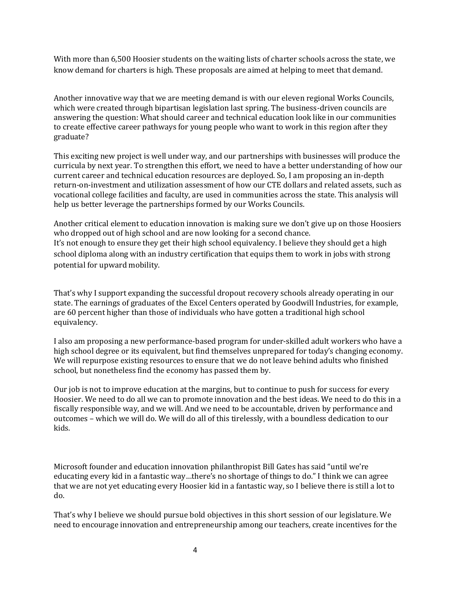With more than 6,500 Hoosier students on the waiting lists of charter schools across the state, we know demand for charters is high. These proposals are aimed at helping to meet that demand.

Another innovative way that we are meeting demand is with our eleven regional Works Councils, which were created through bipartisan legislation last spring. The business-driven councils are answering the question: What should career and technical education look like in our communities to create effective career pathways for young people who want to work in this region after they graduate?

This exciting new project is well under way, and our partnerships with businesses will produce the curricula by next year. To strengthen this effort, we need to have a better understanding of how our current career and technical education resources are deployed. So, I am proposing an in-depth return-on-investment and utilization assessment of how our CTE dollars and related assets, such as vocational college facilities and faculty, are used in communities across the state. This analysis will help us better leverage the partnerships formed by our Works Councils.

Another critical element to education innovation is making sure we don't give up on those Hoosiers who dropped out of high school and are now looking for a second chance. It's not enough to ensure they get their high school equivalency. I believe they should get a high school diploma along with an industry certification that equips them to work in jobs with strong potential for upward mobility.

That's why I support expanding the successful dropout recovery schools already operating in our state. The earnings of graduates of the Excel Centers operated by Goodwill Industries, for example, are 60 percent higher than those of individuals who have gotten a traditional high school equivalency.

I also am proposing a new performance-based program for under-skilled adult workers who have a high school degree or its equivalent, but find themselves unprepared for today's changing economy. We will repurpose existing resources to ensure that we do not leave behind adults who finished school, but nonetheless find the economy has passed them by.

Our job is not to improve education at the margins, but to continue to push for success for every Hoosier. We need to do all we can to promote innovation and the best ideas. We need to do this in a fiscally responsible way, and we will. And we need to be accountable, driven by performance and outcomes – which we will do. We will do all of this tirelessly, with a boundless dedication to our kids.

Microsoft founder and education innovation philanthropist Bill Gates has said "until we're educating every kid in a fantastic way…there's no shortage of things to do." I think we can agree that we are not yet educating every Hoosier kid in a fantastic way, so I believe there is still a lot to do.

That's why I believe we should pursue bold objectives in this short session of our legislature. We need to encourage innovation and entrepreneurship among our teachers, create incentives for the